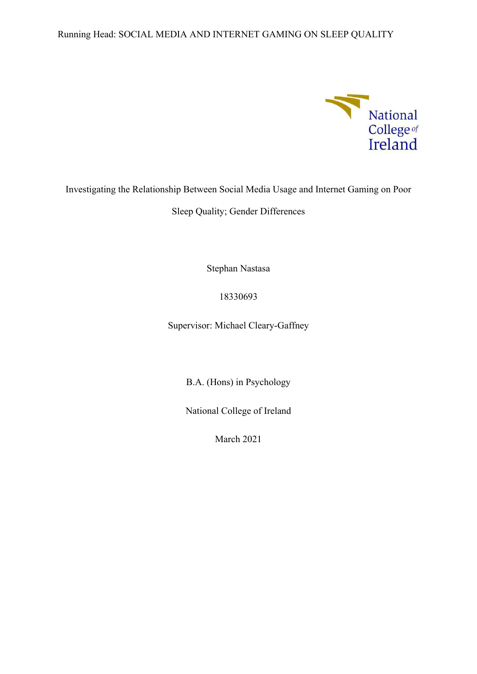## Running Head: SOCIAL MEDIA AND INTERNET GAMING ON SLEEP QUALITY



## Investigating the Relationship Between Social Media Usage and Internet Gaming on Poor

Sleep Quality; Gender Differences

Stephan Nastasa

## 18330693

Supervisor: Michael Cleary-Gaffney

B.A. (Hons) in Psychology

National College of Ireland

March 2021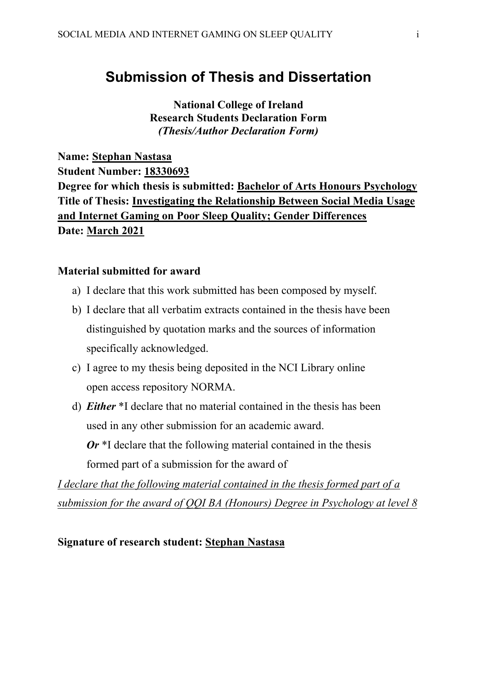# **Submission of Thesis and Dissertation**

**National College of Ireland Research Students Declaration Form** *(Thesis/Author Declaration Form)*

**Name: Stephan Nastasa Student Number: 18330693 Degree for which thesis is submitted: Bachelor of Arts Honours Psychology Title of Thesis: Investigating the Relationship Between Social Media Usage and Internet Gaming on Poor Sleep Quality; Gender Differences Date: March 2021**

## **Material submitted for award**

- a) I declare that this work submitted has been composed by myself.
- b) I declare that all verbatim extracts contained in the thesis have been distinguished by quotation marks and the sources of information specifically acknowledged.
- c) I agree to my thesis being deposited in the NCI Library online open access repository NORMA.
- d) *Either* \*I declare that no material contained in the thesis has been used in any other submission for an academic award. *Or* \*I declare that the following material contained in the thesis formed part of a submission for the award of

*I declare that the following material contained in the thesis formed part of a submission for the award of QQI BA (Honours) Degree in Psychology at level 8*

## **Signature of research student: Stephan Nastasa**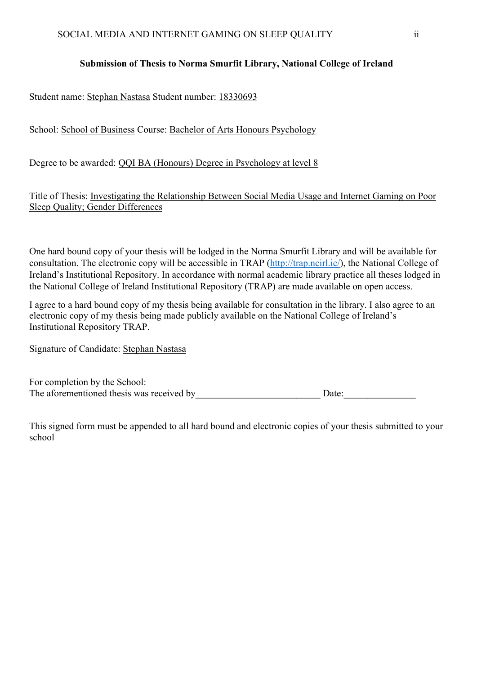## **Submission of Thesis to Norma Smurfit Library, National College of Ireland**

Student name: Stephan Nastasa Student number: 18330693

School: School of Business Course: Bachelor of Arts Honours Psychology

Degree to be awarded: QQI BA (Honours) Degree in Psychology at level 8

Title of Thesis: Investigating the Relationship Between Social Media Usage and Internet Gaming on Poor Sleep Quality; Gender Differences

One hard bound copy of your thesis will be lodged in the Norma Smurfit Library and will be available for consultation. The electronic copy will be accessible in TRAP [\(http://trap.ncirl.ie/\)](http://trap.ncirl.ie/), the National College of Ireland's Institutional Repository. In accordance with normal academic library practice all theses lodged in the National College of Ireland Institutional Repository (TRAP) are made available on open access.

I agree to a hard bound copy of my thesis being available for consultation in the library. I also agree to an electronic copy of my thesis being made publicly available on the National College of Ireland's Institutional Repository TRAP.

Signature of Candidate: Stephan Nastasa

| For completion by the School:             |       |
|-------------------------------------------|-------|
| The aforementioned thesis was received by | Date: |

This signed form must be appended to all hard bound and electronic copies of your thesis submitted to your school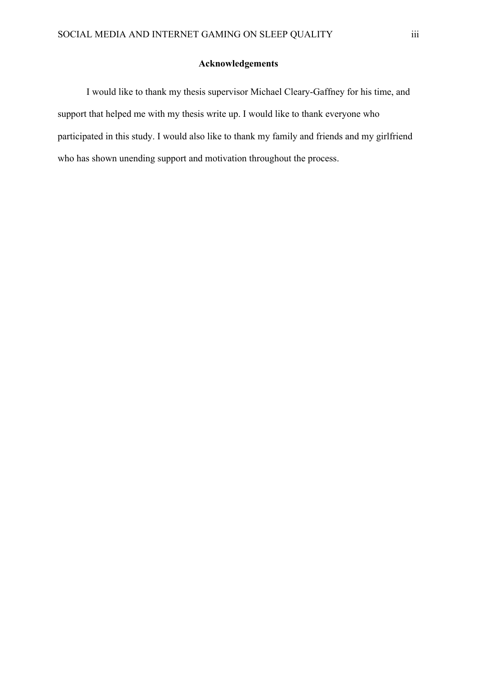#### **Acknowledgements**

I would like to thank my thesis supervisor Michael Cleary-Gaffney for his time, and support that helped me with my thesis write up. I would like to thank everyone who participated in this study. I would also like to thank my family and friends and my girlfriend who has shown unending support and motivation throughout the process.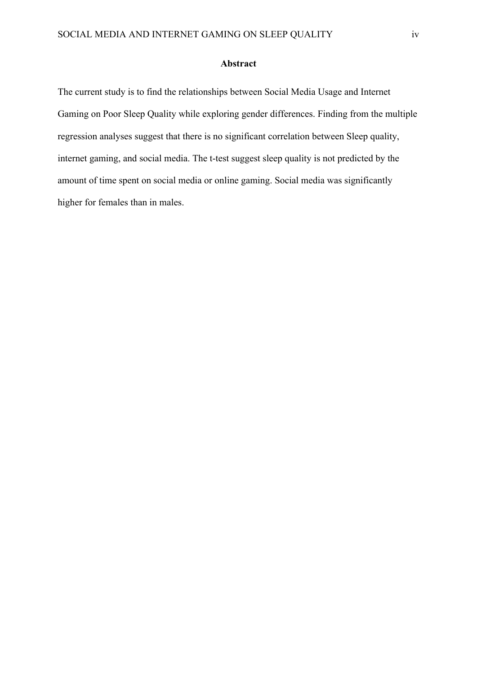#### **Abstract**

The current study is to find the relationships between Social Media Usage and Internet Gaming on Poor Sleep Quality while exploring gender differences. Finding from the multiple regression analyses suggest that there is no significant correlation between Sleep quality, internet gaming, and social media. The t-test suggest sleep quality is not predicted by the amount of time spent on social media or online gaming. Social media was significantly higher for females than in males.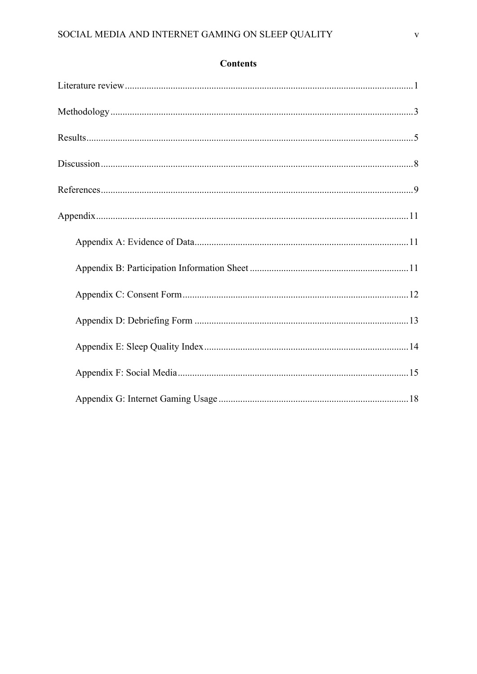## **Contents**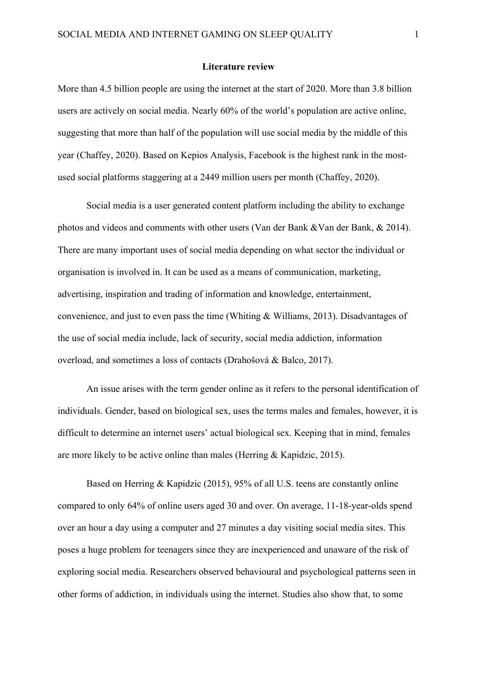#### **Literature review**

More than 4.5 billion people are using the internet at the start of 2020. More than 3.8 billion users are actively on social media. Nearly 60% of the world's population are active online, suggesting that more than half of the population will use social media by the middle of this year (Chaffey, 2020). Based on Kepios Analysis, Facebook is the highest rank in the mostused social platforms staggering at a 2449 million users per month (Chaffey, 2020).

Social media is a user generated content platform including the ability to exchange photos and videos and comments with other users (Van der Bank &Van der Bank, & 2014). There are many important uses of social media depending on what sector the individual or organisation is involved in. It can be used as a means of communication, marketing, advertising, inspiration and trading of information and knowledge, entertainment, convenience, and just to even pass the time (Whiting & Williams, 2013). Disadvantages of the use of social media include, lack of security, social media addiction, information overload, and sometimes a loss of contacts (Drahošová & Balco, 2017).

An issue arises with the term gender online as it refers to the personal identification of individuals. Gender, based on biological sex, uses the terms males and females, however, it is difficult to determine an internet users' actual biological sex. Keeping that in mind, females are more likely to be active online than males (Herring & Kapidzic, 2015).

Based on Herring & Kapidzic (2015), 95% of all U.S. teens are constantly online compared to only 64% of online users aged 30 and over. On average, 11-18-year-olds spend over an hour a day using a computer and 27 minutes a day visiting social media sites. This poses a huge problem for teenagers since they are inexperienced and unaware of the risk of exploring social media. Researchers observed behavioural and psychological patterns seen in other forms of addiction, in individuals using the internet. Studies also show that, to some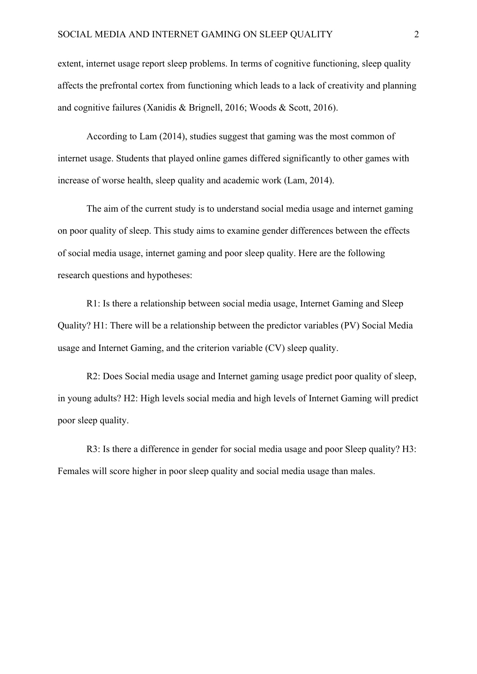extent, internet usage report sleep problems. In terms of cognitive functioning, sleep quality affects the prefrontal cortex from functioning which leads to a lack of creativity and planning and cognitive failures (Xanidis & Brignell, 2016; Woods & Scott, 2016).

According to Lam (2014), studies suggest that gaming was the most common of internet usage. Students that played online games differed significantly to other games with increase of worse health, sleep quality and academic work (Lam, 2014).

The aim of the current study is to understand social media usage and internet gaming on poor quality of sleep. This study aims to examine gender differences between the effects of social media usage, internet gaming and poor sleep quality. Here are the following research questions and hypotheses:

R1: Is there a relationship between social media usage, Internet Gaming and Sleep Quality? H1: There will be a relationship between the predictor variables (PV) Social Media usage and Internet Gaming, and the criterion variable (CV) sleep quality.

R2: Does Social media usage and Internet gaming usage predict poor quality of sleep, in young adults? H2: High levels social media and high levels of Internet Gaming will predict poor sleep quality.

R3: Is there a difference in gender for social media usage and poor Sleep quality? H3: Females will score higher in poor sleep quality and social media usage than males.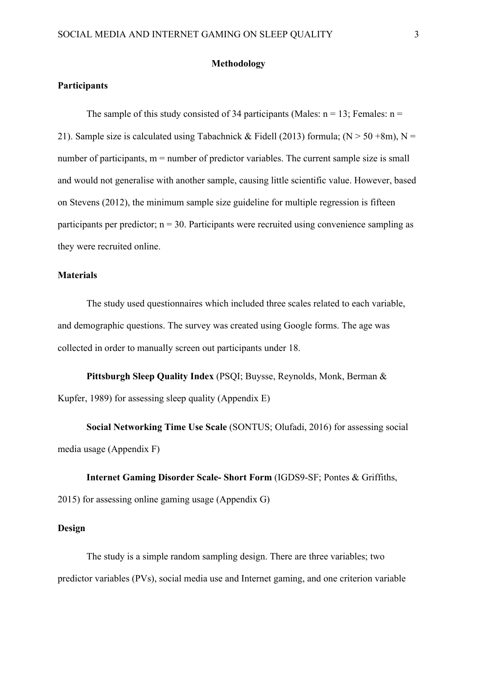#### **Methodology**

## **Participants**

The sample of this study consisted of 34 participants (Males:  $n = 13$ ; Females:  $n =$ 21). Sample size is calculated using Tabachnick & Fidell (2013) formula; ( $N > 50 + 8m$ ),  $N =$ number of participants,  $m =$  number of predictor variables. The current sample size is small and would not generalise with another sample, causing little scientific value. However, based on Stevens (2012), the minimum sample size guideline for multiple regression is fifteen participants per predictor;  $n = 30$ . Participants were recruited using convenience sampling as they were recruited online.

#### **Materials**

The study used questionnaires which included three scales related to each variable, and demographic questions. The survey was created using Google forms. The age was collected in order to manually screen out participants under 18.

**Pittsburgh Sleep Quality Index** (PSQI; Buysse, Reynolds, Monk, Berman & Kupfer, 1989) for assessing sleep quality (Appendix E)

**Social Networking Time Use Scale** (SONTUS; Olufadi, 2016) for assessing social media usage (Appendix F)

# **Internet Gaming Disorder Scale- Short Form** (IGDS9-SF; Pontes & Griffiths, 2015) for assessing online gaming usage (Appendix G)

#### **Design**

The study is a simple random sampling design. There are three variables; two predictor variables (PVs), social media use and Internet gaming, and one criterion variable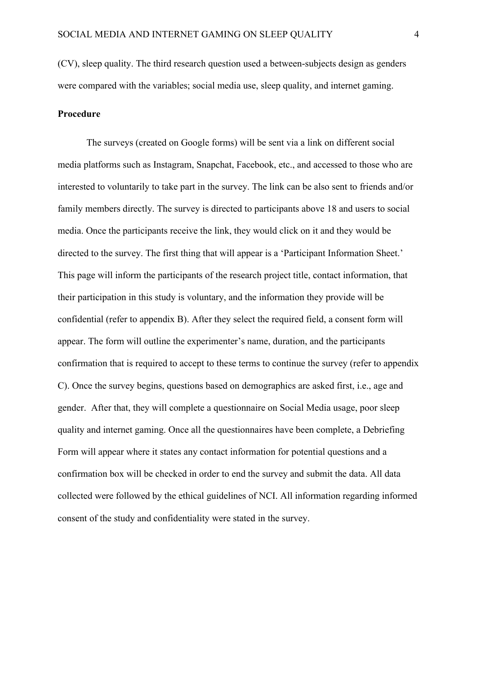(CV), sleep quality. The third research question used a between-subjects design as genders were compared with the variables; social media use, sleep quality, and internet gaming.

## **Procedure**

The surveys (created on Google forms) will be sent via a link on different social media platforms such as Instagram, Snapchat, Facebook, etc., and accessed to those who are interested to voluntarily to take part in the survey. The link can be also sent to friends and/or family members directly. The survey is directed to participants above 18 and users to social media. Once the participants receive the link, they would click on it and they would be directed to the survey. The first thing that will appear is a 'Participant Information Sheet.' This page will inform the participants of the research project title, contact information, that their participation in this study is voluntary, and the information they provide will be confidential (refer to appendix B). After they select the required field, a consent form will appear. The form will outline the experimenter's name, duration, and the participants confirmation that is required to accept to these terms to continue the survey (refer to appendix C). Once the survey begins, questions based on demographics are asked first, i.e., age and gender. After that, they will complete a questionnaire on Social Media usage, poor sleep quality and internet gaming. Once all the questionnaires have been complete, a Debriefing Form will appear where it states any contact information for potential questions and a confirmation box will be checked in order to end the survey and submit the data. All data collected were followed by the ethical guidelines of NCI. All information regarding informed consent of the study and confidentiality were stated in the survey.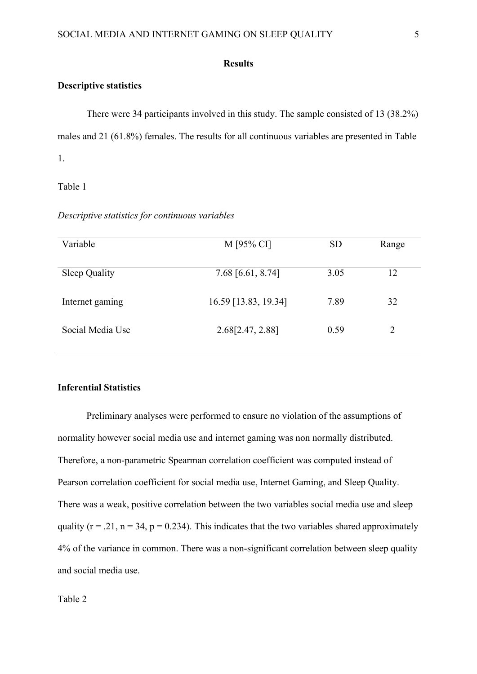#### **Results**

#### **Descriptive statistics**

There were 34 participants involved in this study. The sample consisted of 13 (38.2%) males and 21 (61.8%) females. The results for all continuous variables are presented in Table 1.

Table 1

*Descriptive statistics for continuous variables*

| Variable             | M [95% CI]           | <b>SD</b> | Range |
|----------------------|----------------------|-----------|-------|
|                      |                      |           |       |
| <b>Sleep Quality</b> | 7.68 [6.61, 8.74]    | 3.05      | 12    |
| Internet gaming      | 16.59 [13.83, 19.34] | 7.89      | 32    |
| Social Media Use     | 2.68[2.47, 2.88]     | 0.59      | 2     |
|                      |                      |           |       |

### **Inferential Statistics**

Preliminary analyses were performed to ensure no violation of the assumptions of normality however social media use and internet gaming was non normally distributed. Therefore, a non-parametric Spearman correlation coefficient was computed instead of Pearson correlation coefficient for social media use, Internet Gaming, and Sleep Quality. There was a weak, positive correlation between the two variables social media use and sleep quality ( $r = .21$ ,  $n = 34$ ,  $p = 0.234$ ). This indicates that the two variables shared approximately 4% of the variance in common. There was a non-significant correlation between sleep quality and social media use.

Table 2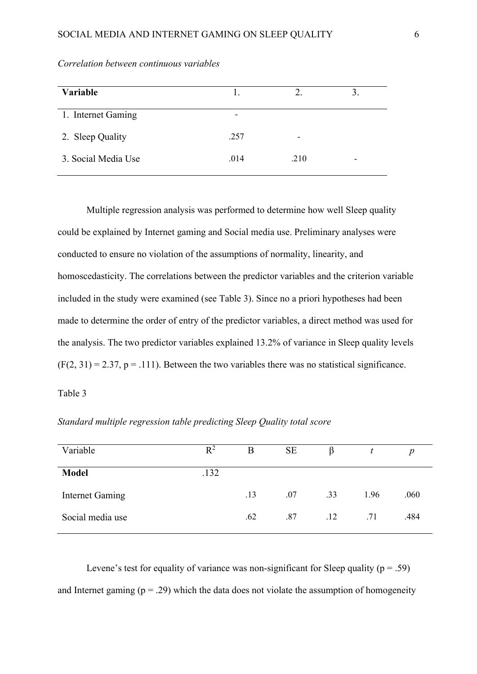| Variable            |                          | 2.                       |                          |
|---------------------|--------------------------|--------------------------|--------------------------|
| 1. Internet Gaming  | $\overline{\phantom{0}}$ |                          |                          |
| 2. Sleep Quality    | .257                     | $\overline{\phantom{0}}$ |                          |
| 3. Social Media Use | .014                     | .210                     | $\overline{\phantom{0}}$ |

*Correlation between continuous variables*

Multiple regression analysis was performed to determine how well Sleep quality could be explained by Internet gaming and Social media use. Preliminary analyses were conducted to ensure no violation of the assumptions of normality, linearity, and homoscedasticity. The correlations between the predictor variables and the criterion variable included in the study were examined (see Table 3). Since no a priori hypotheses had been made to determine the order of entry of the predictor variables, a direct method was used for the analysis. The two predictor variables explained 13.2% of variance in Sleep quality levels  $(F(2, 31) = 2.37, p = .111)$ . Between the two variables there was no statistical significance.

Table 3

| Variable               | $R^2$ | B   | <b>SE</b> |     |      | $\boldsymbol{p}$ |  |  |  |  |
|------------------------|-------|-----|-----------|-----|------|------------------|--|--|--|--|
| <b>Model</b>           | .132  |     |           |     |      |                  |  |  |  |  |
| <b>Internet Gaming</b> |       | .13 | .07       | .33 | 1.96 | .060             |  |  |  |  |
| Social media use       |       | .62 | .87       | .12 | .71  | .484             |  |  |  |  |

*Standard multiple regression table predicting Sleep Quality total score*

Levene's test for equality of variance was non-significant for Sleep quality ( $p = .59$ ) and Internet gaming  $(p = .29)$  which the data does not violate the assumption of homogeneity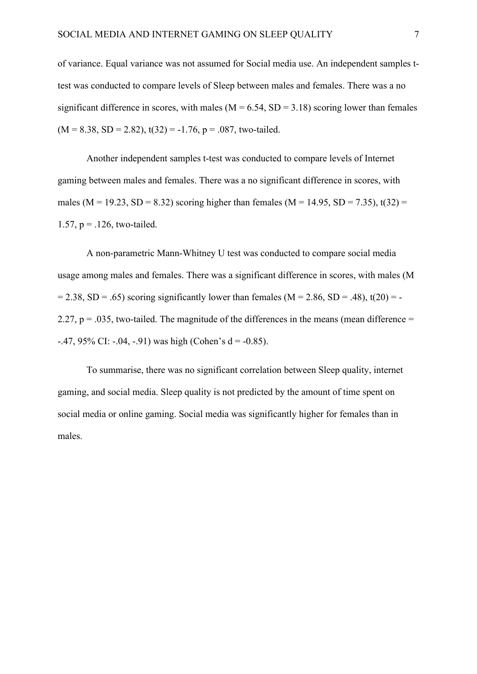of variance. Equal variance was not assumed for Social media use. An independent samples ttest was conducted to compare levels of Sleep between males and females. There was a no significant difference in scores, with males ( $M = 6.54$ ,  $SD = 3.18$ ) scoring lower than females  $(M = 8.38, SD = 2.82), t(32) = -1.76, p = .087, two-tailed.$ 

Another independent samples t-test was conducted to compare levels of Internet gaming between males and females. There was a no significant difference in scores, with males (M = 19.23, SD = 8.32) scoring higher than females (M = 14.95, SD = 7.35), t(32) = 1.57,  $p = 126$ , two-tailed.

A non-parametric Mann-Whitney U test was conducted to compare social media usage among males and females. There was a significant difference in scores, with males (M  $= 2.38$ , SD = .65) scoring significantly lower than females (M = 2.86, SD = .48), t(20) = -2.27,  $p = 0.035$ , two-tailed. The magnitude of the differences in the means (mean difference =  $-47, 95\%$  CI:  $-0.04, -0.91$  was high (Cohen's d =  $-0.85$ ).

To summarise, there was no significant correlation between Sleep quality, internet gaming, and social media. Sleep quality is not predicted by the amount of time spent on social media or online gaming. Social media was significantly higher for females than in males.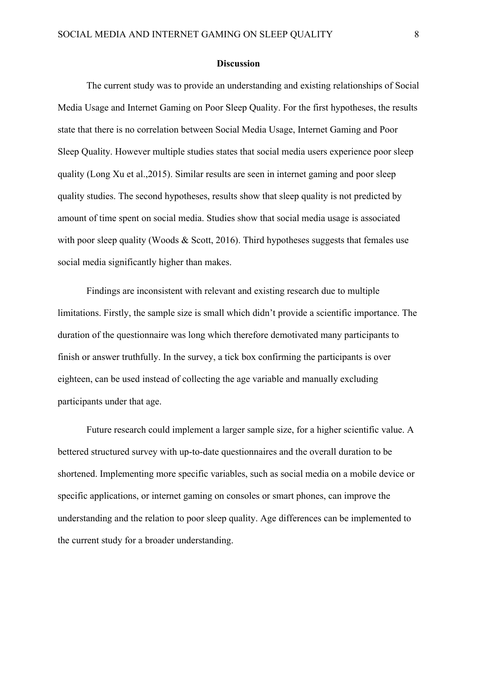#### **Discussion**

The current study was to provide an understanding and existing relationships of Social Media Usage and Internet Gaming on Poor Sleep Quality. For the first hypotheses, the results state that there is no correlation between Social Media Usage, Internet Gaming and Poor Sleep Quality. However multiple studies states that social media users experience poor sleep quality (Long Xu et al.,2015). Similar results are seen in internet gaming and poor sleep quality studies. The second hypotheses, results show that sleep quality is not predicted by amount of time spent on social media. Studies show that social media usage is associated with poor sleep quality (Woods & Scott, 2016). Third hypotheses suggests that females use social media significantly higher than makes.

Findings are inconsistent with relevant and existing research due to multiple limitations. Firstly, the sample size is small which didn't provide a scientific importance. The duration of the questionnaire was long which therefore demotivated many participants to finish or answer truthfully. In the survey, a tick box confirming the participants is over eighteen, can be used instead of collecting the age variable and manually excluding participants under that age.

Future research could implement a larger sample size, for a higher scientific value. A bettered structured survey with up-to-date questionnaires and the overall duration to be shortened. Implementing more specific variables, such as social media on a mobile device or specific applications, or internet gaming on consoles or smart phones, can improve the understanding and the relation to poor sleep quality. Age differences can be implemented to the current study for a broader understanding.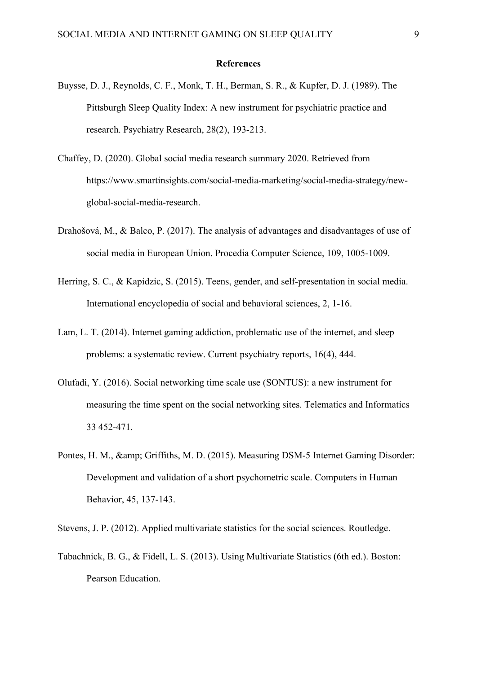#### **References**

- Buysse, D. J., Reynolds, C. F., Monk, T. H., Berman, S. R., & Kupfer, D. J. (1989). The Pittsburgh Sleep Quality Index: A new instrument for psychiatric practice and research. Psychiatry Research, 28(2), 193-213.
- Chaffey, D. (2020). Global social media research summary 2020. Retrieved from https://www.smartinsights.com/social-media-marketing/social-media-strategy/newglobal-social-media-research.
- Drahošová, M., & Balco, P. (2017). The analysis of advantages and disadvantages of use of social media in European Union. Procedia Computer Science, 109, 1005-1009.
- Herring, S. C., & Kapidzic, S. (2015). Teens, gender, and self-presentation in social media. International encyclopedia of social and behavioral sciences, 2, 1-16.
- Lam, L. T. (2014). Internet gaming addiction, problematic use of the internet, and sleep problems: a systematic review. Current psychiatry reports, 16(4), 444.
- Olufadi, Y. (2016). Social networking time scale use (SONTUS): a new instrument for measuring the time spent on the social networking sites. Telematics and Informatics 33 452-471.
- Pontes, H. M., & amp; Griffiths, M. D. (2015). Measuring DSM-5 Internet Gaming Disorder: Development and validation of a short psychometric scale. Computers in Human Behavior, 45, 137-143.

Stevens, J. P. (2012). Applied multivariate statistics for the social sciences. Routledge.

Tabachnick, B. G., & Fidell, L. S. (2013). Using Multivariate Statistics (6th ed.). Boston: Pearson Education.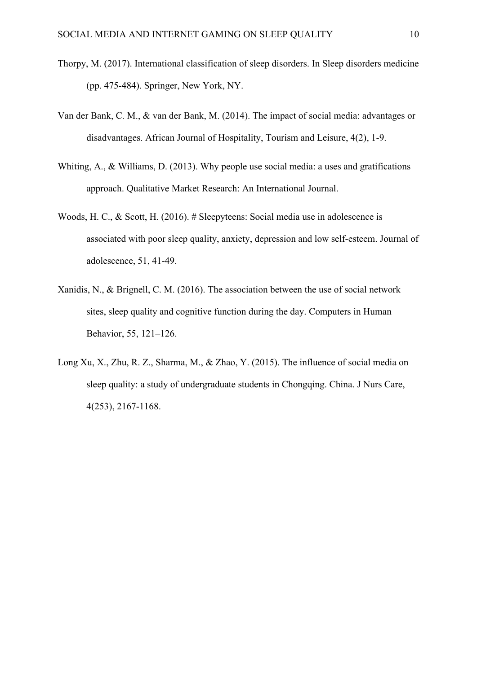- Thorpy, M. (2017). International classification of sleep disorders. In Sleep disorders medicine (pp. 475-484). Springer, New York, NY.
- Van der Bank, C. M., & van der Bank, M. (2014). The impact of social media: advantages or disadvantages. African Journal of Hospitality, Tourism and Leisure, 4(2), 1-9.
- Whiting, A., & Williams, D. (2013). Why people use social media: a uses and gratifications approach. Qualitative Market Research: An International Journal.
- Woods, H. C., & Scott, H. (2016). # Sleepyteens: Social media use in adolescence is associated with poor sleep quality, anxiety, depression and low self-esteem. Journal of adolescence, 51, 41-49.
- Xanidis, N., & Brignell, C. M. (2016). The association between the use of social network sites, sleep quality and cognitive function during the day. Computers in Human Behavior, 55, 121–126.
- Long Xu, X., Zhu, R. Z., Sharma, M., & Zhao, Y. (2015). The influence of social media on sleep quality: a study of undergraduate students in Chongqing. China. J Nurs Care, 4(253), 2167-1168.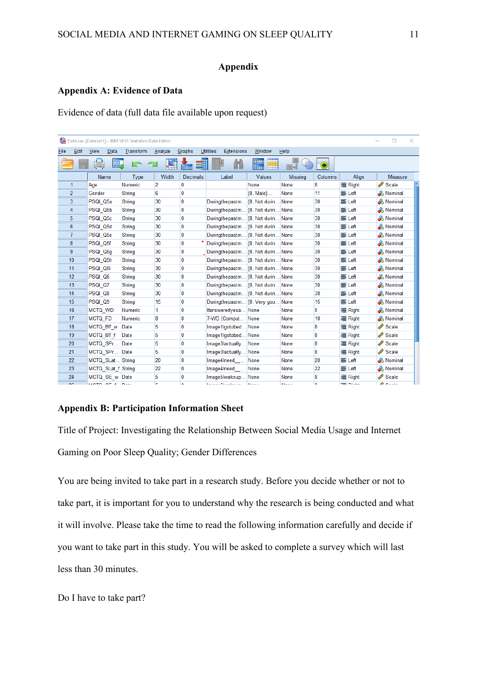## **Appendix**

#### **Appendix A: Evidence of Data**

Evidence of data (full data file available upon request)

|             |                |                    | Data.sav [DataSet1] - IBM SPSS Statistics Data Editor |                |                 |                                       |                           |                |         |                   | □<br>×               |  |
|-------------|----------------|--------------------|-------------------------------------------------------|----------------|-----------------|---------------------------------------|---------------------------|----------------|---------|-------------------|----------------------|--|
| <b>File</b> | Edit           | View<br>Data       | Transform                                             | Analyze        | Graphs          | <b>Utilities</b><br><b>Extensions</b> | Window                    | Help           |         |                   |                      |  |
|             |                | DD.                | m<br>⌒                                                |                |                 |                                       | <b>THEFT</b><br>₩<br>गामा |                | Œ       |                   |                      |  |
|             |                | Name               | <b>Type</b>                                           | Width          | <b>Decimals</b> | Label                                 | <b>Values</b>             | <b>Missing</b> | Columns | Align             | Measure              |  |
| 1           |                | Age                | Numeric                                               | $\overline{2}$ | 0               |                                       | None                      | None           | 8       | <b>三 Right</b>    | Scale                |  |
|             | $\overline{2}$ | Gender             | String                                                | 6              | 0               |                                       | $\{0, Male\}$             | None           | 11      | 三 Left            | & Nominal            |  |
| 3           |                | PSQI Q5a           | String                                                | 30             | 0               | Duringthepastm {0, Not durin None     |                           |                | 30      | 三 Left            | <b>&amp;</b> Nominal |  |
| 4           |                | PSQI Q5b           | <b>String</b>                                         | 30             | 0               | Duringthepastm {0, Not durin None     |                           |                | 30      | 三 Left            | <b>&amp;</b> Nominal |  |
| 5           |                | PSQI Q5c           | String                                                | 30             | $\mathbf{0}$    | Duringthepastm {0, Not durin None     |                           |                | 30      | 三 Left            | <b>&amp;</b> Nominal |  |
| 6           |                | PSQI Q5d           | <b>String</b>                                         | 30             | 0               | Duringthepastm {0, Not durin None     |                           |                | 30      | 三 Left            | & Nominal            |  |
| 7           |                | PSQI Q5e           | String                                                | 30             | 0               | Duringthepastm {0, Not durin None     |                           |                | 30      | 三 Left            | <b>&amp;</b> Nominal |  |
| 8           |                | PSQI Q5f           | <b>String</b>                                         | 30             | 0               | Duringthepastm {0, Not durin None     |                           |                | 30      | 三 Left            | & Nominal            |  |
| 9           |                | PSQI Q5g           | String                                                | 30             | 0               | Duringthepastm {0, Not durin None     |                           |                | 30      | 三 Left            | <b>&amp;</b> Nominal |  |
| 10          |                | PSQI_Q5h           | <b>String</b>                                         | 30             | 0               | Duringthepastm {0, Not durin None     |                           |                | 30      | 三 Left            | <b>&amp;</b> Nominal |  |
| 11          |                | PSQI Q5i           | String                                                | 30             | $\bf{0}$        | Duringthepastm {0, Not durin None     |                           |                | 30      | $\equiv$ Left     | <b>&amp;</b> Nominal |  |
| 12          |                | PSQI Q6            | <b>String</b>                                         | 30             | $\bf{0}$        | Duringthepastm {0, Not durin None     |                           |                | 30      | 三 Left            | & Nominal            |  |
| 13          |                | PSQI Q7            | <b>String</b>                                         | 30             | 0               | Duringthepastm {0, Not durin None     |                           |                | 30      | 三 Left            | <b>&amp;</b> Nominal |  |
| 14          |                | PSQI Q8            | <b>String</b>                                         | 30             | 0               | Duringthepastm {0, Not durin None     |                           |                | 30      | 三 Left            | <b>&amp;</b> Nominal |  |
| 15          |                | PSQI Q9            | <b>String</b>                                         | 15             | 0               | Duringthepastm {0, Very goo           |                           | None           | 15      | 三 Left            | <b>&amp;</b> Nominal |  |
| 16          |                | MCTQ_WD            | Numeric                                               | 1              | 0               | Ifansweredyesa None                   |                           | None           | 5       | <b>三 Right</b>    | <b>&amp;</b> Nominal |  |
| 17          |                | <b>MCTQ FD</b>     | <b>Numeric</b>                                        | 8              | 0               | 7-WD (Comput                          | None                      | None           | 10      | <b>三 Right</b>    | & Nominal            |  |
| 18          |                | MCTQ BT w          | Date                                                  | 5              | $\mathbf{0}$    | Image1Igotobed None                   |                           | None           | 8       | <b>三 Right</b>    | Scale                |  |
| 19          |                | MCTQ BT f          | Date                                                  | 5              | 0               | Image1Igotobed None                   |                           | None           | 8       | <b>三 Right</b>    | Scale                |  |
| 20          |                | MCTQ SPr           | Date                                                  | 5              | 0               | Image3lactually None                  |                           | None           | 8       | <b>三 Right</b>    | Scale                |  |
| 21          |                | MCTQ SPr           | Date                                                  | 5              | 0               | Image3lactually None                  |                           | None           | 8       | <b>三 Right</b>    | Scale                |  |
| 22          |                | MCTQ SLat String   |                                                       | 20             | 0               | Image4Ineed  None                     |                           | None           | 20      | 三 Left            | <b>&amp;</b> Nominal |  |
| 23          |                | MCTQ SLat f String |                                                       | 22             | $\bf{0}$        | Image4Ineed  None                     |                           | None           | 22      | 三 Left            | <b>&amp;</b> Nominal |  |
| 24          |                | MCTQ SE w Date     |                                                       | 5              | 0               | Image5Iwakeup None                    |                           | None           | 8       | <b>三 Right</b>    | Scale                |  |
| nr.         |                | MOTO OF A DALL     |                                                       | r              | $\mathbf{v}$    | المحارب والمحاربة أأتناه والمتحارب    | March.                    | Million of     | ö       | <b>THE INCLUS</b> | $\triangle$ Could    |  |

#### **Appendix B: Participation Information Sheet**

Title of Project: Investigating the Relationship Between Social Media Usage and Internet Gaming on Poor Sleep Quality; Gender Differences

You are being invited to take part in a research study. Before you decide whether or not to take part, it is important for you to understand why the research is being conducted and what it will involve. Please take the time to read the following information carefully and decide if you want to take part in this study. You will be asked to complete a survey which will last less than 30 minutes.

Do I have to take part?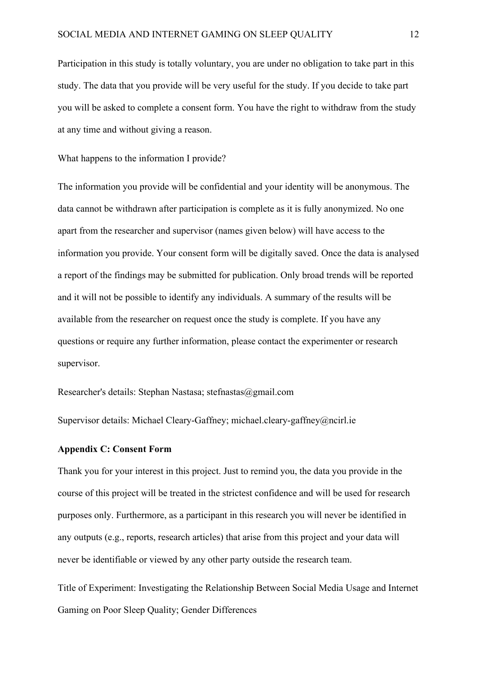Participation in this study is totally voluntary, you are under no obligation to take part in this study. The data that you provide will be very useful for the study. If you decide to take part you will be asked to complete a consent form. You have the right to withdraw from the study at any time and without giving a reason.

What happens to the information I provide?

The information you provide will be confidential and your identity will be anonymous. The data cannot be withdrawn after participation is complete as it is fully anonymized. No one apart from the researcher and supervisor (names given below) will have access to the information you provide. Your consent form will be digitally saved. Once the data is analysed a report of the findings may be submitted for publication. Only broad trends will be reported and it will not be possible to identify any individuals. A summary of the results will be available from the researcher on request once the study is complete. If you have any questions or require any further information, please contact the experimenter or research supervisor.

Researcher's details: Stephan Nastasa; stefnastas@gmail.com

Supervisor details: Michael Cleary-Gaffney; michael.cleary-gaffney@ncirl.ie

#### **Appendix C: Consent Form**

Thank you for your interest in this project. Just to remind you, the data you provide in the course of this project will be treated in the strictest confidence and will be used for research purposes only. Furthermore, as a participant in this research you will never be identified in any outputs (e.g., reports, research articles) that arise from this project and your data will never be identifiable or viewed by any other party outside the research team.

Title of Experiment: Investigating the Relationship Between Social Media Usage and Internet Gaming on Poor Sleep Quality; Gender Differences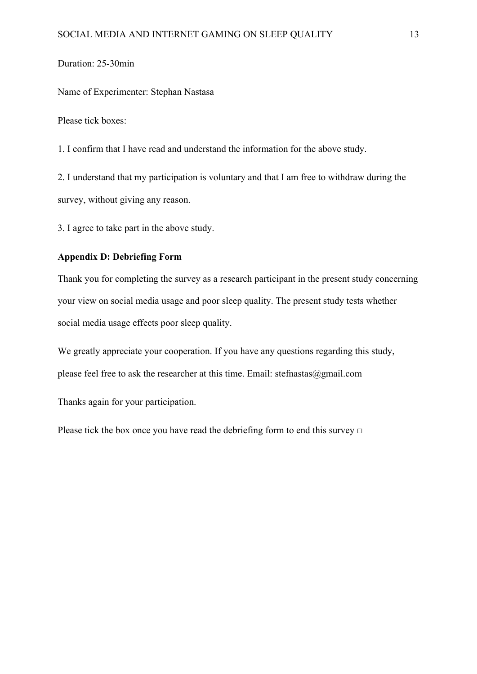## Duration: 25-30min

Name of Experimenter: Stephan Nastasa

Please tick boxes:

1. I confirm that I have read and understand the information for the above study.

2. I understand that my participation is voluntary and that I am free to withdraw during the survey, without giving any reason.

3. I agree to take part in the above study.

## **Appendix D: Debriefing Form**

Thank you for completing the survey as a research participant in the present study concerning your view on social media usage and poor sleep quality. The present study tests whether social media usage effects poor sleep quality.

We greatly appreciate your cooperation. If you have any questions regarding this study, please feel free to ask the researcher at this time. Email: stefnastas@gmail.com

Thanks again for your participation.

Please tick the box once you have read the debriefing form to end this survey  $\Box$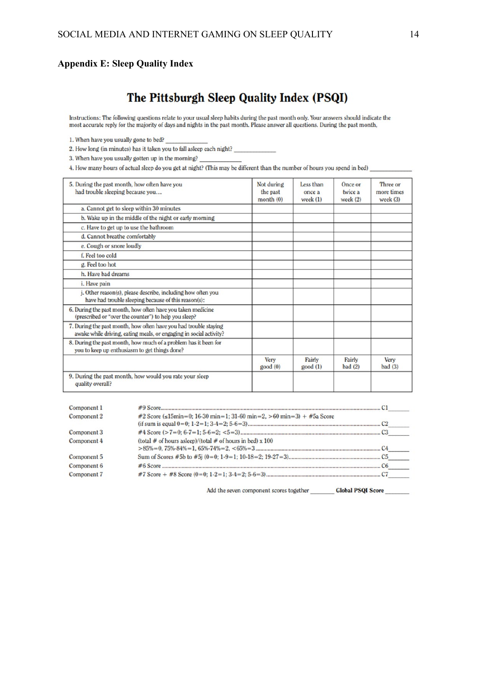## **Appendix E: Sleep Quality Index**

# The Pittsburgh Sleep Quality Index (PSQI)

Instructions: The following questions relate to your usual sleep habits during the past month only. Your answers should indicate the most accurate reply for the majority of days and nights in the past month. Please answer

1. When have you usually gone to bed?

2. How long (in minutes) has it taken you to fall asleep each night?

3. When have you usually gotten up in the morning?

4. How many hours of actual sleep do you get at night? (This may be different than the number of hours you spend in bed)

| 5. During the past month, how often have you<br>had trouble sleeping because you                                                       | Not during<br>the past<br>month(0) | Less than<br>once a<br>week $(1)$ | Once or<br>twice a<br>week $(2)$ | Three or<br>more times<br>week $(3)$ |
|----------------------------------------------------------------------------------------------------------------------------------------|------------------------------------|-----------------------------------|----------------------------------|--------------------------------------|
| a. Cannot get to sleep within 30 minutes                                                                                               |                                    |                                   |                                  |                                      |
| b. Wake up in the middle of the night or early morning                                                                                 |                                    |                                   |                                  |                                      |
| c. Have to get up to use the bathroom                                                                                                  |                                    |                                   |                                  |                                      |
| d. Cannot breathe comfortably                                                                                                          |                                    |                                   |                                  |                                      |
| e. Cough or snore loudly                                                                                                               |                                    |                                   |                                  |                                      |
| f. Feel too cold                                                                                                                       |                                    |                                   |                                  |                                      |
| g. Feel too hot                                                                                                                        |                                    |                                   |                                  |                                      |
| h. Have bad dreams                                                                                                                     |                                    |                                   |                                  |                                      |
| i. Have pain                                                                                                                           |                                    |                                   |                                  |                                      |
| j. Other reason(s), please describe, including how often you<br>have had trouble sleeping because of this reason(s):                   |                                    |                                   |                                  |                                      |
| 6. During the past month, how often have you taken medicine<br>(prescribed or "over the counter") to help you sleep?                   |                                    |                                   |                                  |                                      |
| 7. During the past month, how often have you had trouble staying<br>awake while driving, eating meals, or engaging in social activity? |                                    |                                   |                                  |                                      |
| 8. During the past month, how much of a problem has it been for<br>you to keep up enthusiasm to get things done?                       |                                    |                                   |                                  |                                      |
|                                                                                                                                        | Very<br>good(0)                    | Fairly<br>good(1)                 | Fairly<br>bad(2)                 | Very<br>bad(3)                       |
| 9. During the past month, how would you rate your sleep<br>quality overall?                                                            |                                    |                                   |                                  |                                      |

| #2 Score ( $\leq 15$ min=0; 16-30 min=1; 31-60 min=2, >60 min=3) + #5a Score |  |
|------------------------------------------------------------------------------|--|
|                                                                              |  |
|                                                                              |  |
| (total # of hours asleep)/(total # of hours in bed) $x$ 100                  |  |
|                                                                              |  |
|                                                                              |  |
|                                                                              |  |
|                                                                              |  |
|                                                                              |  |

Add the seven component scores together \_\_\_\_\_\_\_\_\_\_ Global PSQI Score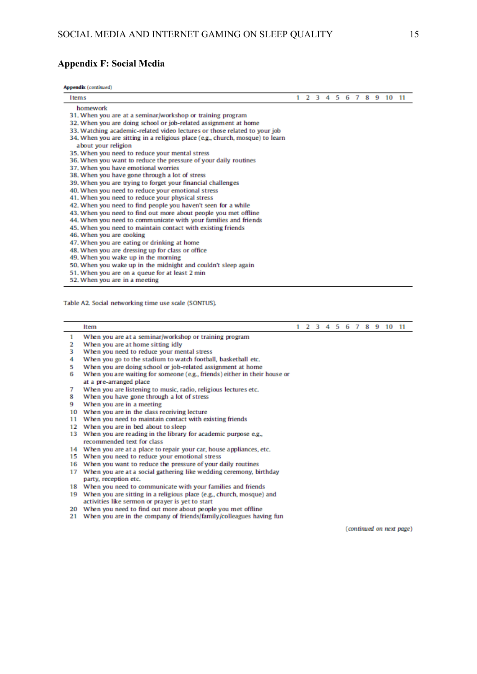#### **Appendix F: Social Media**

Appendix (continued)

| <b>I</b> tems                                                                 |  |  |  |  | 2 3 4 5 6 7 8 9 10 11 |  |
|-------------------------------------------------------------------------------|--|--|--|--|-----------------------|--|
| homework                                                                      |  |  |  |  |                       |  |
| 31. When you are at a seminar/workshop or training program                    |  |  |  |  |                       |  |
| 32. When you are doing school or job-related assignment at home               |  |  |  |  |                       |  |
| 33. Watching academic-related video lectures or those related to your job     |  |  |  |  |                       |  |
| 34. When you are sitting in a religious place (e.g., church, mosque) to learn |  |  |  |  |                       |  |
| about your religion                                                           |  |  |  |  |                       |  |
| 35. When you need to reduce your mental stress                                |  |  |  |  |                       |  |
| 36. When you want to reduce the pressure of your daily routines               |  |  |  |  |                       |  |
| 37. When you have emotional worries                                           |  |  |  |  |                       |  |
| 38. When you have gone through a lot of stress                                |  |  |  |  |                       |  |
| 39. When you are trying to forget your financial challenges                   |  |  |  |  |                       |  |
| 40. When you need to reduce your emotional stress                             |  |  |  |  |                       |  |
| 41. When you need to reduce your physical stress                              |  |  |  |  |                       |  |
| 42. When you need to find people you haven't seen for a while                 |  |  |  |  |                       |  |
| 43. When you need to find out more about people you met offline               |  |  |  |  |                       |  |
| 44. When you need to communicate with your families and friends               |  |  |  |  |                       |  |
| 45. When you need to maintain contact with existing friends                   |  |  |  |  |                       |  |
| 46. When you are cooking                                                      |  |  |  |  |                       |  |
| 47. When you are eating or drinking at home                                   |  |  |  |  |                       |  |
| 48. When you are dressing up for class or office                              |  |  |  |  |                       |  |
| 49. When you wake up in the morning                                           |  |  |  |  |                       |  |
| 50. When you wake up in the midnight and couldn't sleep again                 |  |  |  |  |                       |  |
| 51. When you are on a queue for at least 2 min                                |  |  |  |  |                       |  |
| ED 14than 1991 and in a manifest                                              |  |  |  |  |                       |  |

52. When you are in a meeting

Table A2, Social networking time use scale (SONTUS).

#### Item

1 2 3 4 5 6 7 8 9 10 11

- $\mathbf{1}$ When you are at a seminar/workshop or training program
- $\overline{2}$ When you are at home sitting idly
- $\mathbf{R}$ When you need to reduce your mental stress
- 4 When you go to the stadium to watch football, basketball etc.
- When you are doing school or job-related assignment at home 5.
- 6 When you are waiting for someone (e.g., friends) either in their house or at a pre-arranged place
- $\overline{7}$ When you are listening to music, radio, religious lectures etc.
- 8 When you have gone through a lot of stress
- 9 When you are in a meeting
- 10 When you are in the class receiving lecture
- 11 When you need to maintain contact with existing friends
- 12 When you are in bed about to sleep
- 13 When you are reading in the library for academic purpose e.g., recommended text for class
- 14 When you are at a place to repair your car, house appliances, etc.
- 15 When you need to reduce your emotional stress
- 16 When you want to reduce the pressure of your daily routines
- 17 When you are at a social gathering like wedding ceremony, birthday party, reception etc.
- 18 When you need to communicate with your families and friends
- 19 When you are sitting in a religious place (e.g., church, mosque) and activities like sermon or prayer is yet to start
- 20 When you need to find out more about people you met offline
- 21 When you are in the company of friends/family/colleagues having fun

(continued on next page)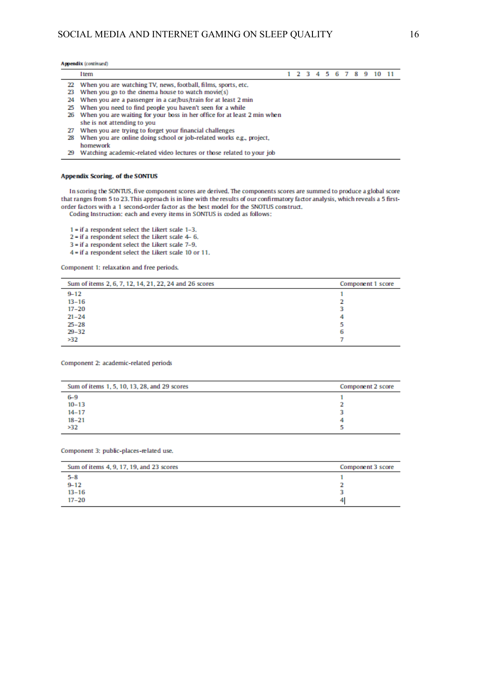#### Appendix (continued)

|    | <b>I</b> tem                                                                |  |  |  |  | 1 2 3 4 5 6 7 8 9 10 11 |  |
|----|-----------------------------------------------------------------------------|--|--|--|--|-------------------------|--|
|    | 22 When you are watching TV, news, football, films, sports, etc.            |  |  |  |  |                         |  |
|    | 23 When you go to the cinema house to watch movie(s)                        |  |  |  |  |                         |  |
|    | 24 When you are a passenger in a car/bus/train for at least 2 min           |  |  |  |  |                         |  |
|    | 25 When you need to find people you haven't seen for a while                |  |  |  |  |                         |  |
|    | 26 When you are waiting for your boss in her office for at least 2 min when |  |  |  |  |                         |  |
|    | she is not attending to you                                                 |  |  |  |  |                         |  |
| 27 | When you are trying to forget your financial challenges                     |  |  |  |  |                         |  |
| 28 | When you are online doing school or job-related works e.g., project,        |  |  |  |  |                         |  |
|    | homework                                                                    |  |  |  |  |                         |  |

29 Watching academic-related video lectures or those related to your job

#### **Appendix Scoring. of the SONTUS**

In scoring the SONTUS, five component scores are derived. The components scores are summed to produce a global score that ranges from 5 to 23. This approach is in line with the results of our confirmatory factor analysis, which reveals a 5 firstorder factors with a 1 second-order factor as the best model for the SNOTUS construct.

Coding Instruction: each and every items in SONTUS is coded as follows:

1 - if a respondent select the Likert scale 1-3.  $2$  = if a respondent select the Likert scale 4-6. 3 = if a respondent select the Likert scale 7-9. 4 = if a respondent select the Likert scale 10 or 11.

Component 1: relaxation and free periods,

| Sum of items 2, 6, 7, 12, 14, 21, 22, 24 and 26 scores | Component 1 score |
|--------------------------------------------------------|-------------------|
| $9 - 12$                                               |                   |
| $13 - 16$                                              |                   |
| $17 - 20$                                              |                   |
| $21 - 24$                                              |                   |
| $25 - 28$                                              |                   |
| $29 - 32$                                              | 6                 |
| >32                                                    |                   |

#### Component 2: academic-related periods

| Sum of items 1, 5, 10, 13, 28, and 29 scores | Component 2 score |
|----------------------------------------------|-------------------|
| $6 - 9$                                      |                   |
| $10 - 13$                                    |                   |
| $14 - 17$                                    |                   |
| $18 - 21$                                    |                   |
| >32                                          |                   |

#### Component 3: public-places-related use,

| Sum of items 4, 9, 17, 19, and 23 scores | Component 3 score |
|------------------------------------------|-------------------|
| $5 - 8$                                  |                   |
| $9 - 12$                                 |                   |
| $13 - 16$                                |                   |
| $17 - 20$                                | 4                 |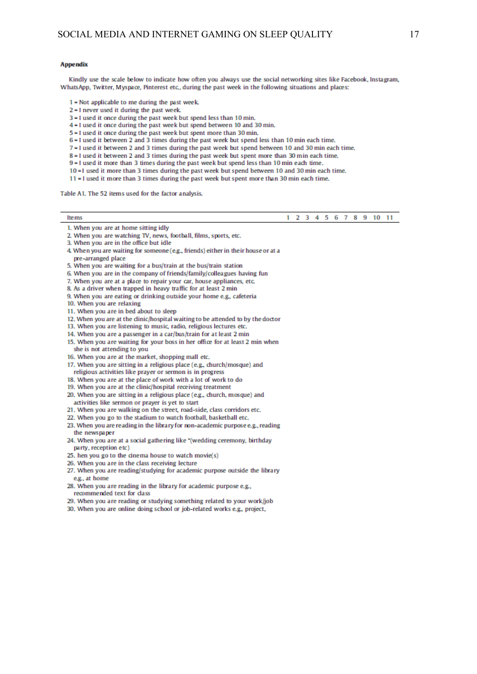#### **Appendix**

Kindly use the scale below to indicate how often you always use the social networking sites like Facebook, Instagram, WhatsApp, Twitter, Myspace, Pinterest etc., during the past week in the following situations and places:

- 1 = Not applicable to me during the past week.
- 2 = I never used it during the past week.
- 3 = I used it once during the past week but spend less than 10 min.
- 4 = I used it once during the past week but spend between 10 and 30 min.
- 5 = 1 used it once during the past week but spent more than 30 min.
- 6 = I used it between 2 and 3 times during the past week but spend less than 10 min each time.
- 7 = I used it between 2 and 3 times during the past week but spend between 10 and 30 min each time.
- 8 = I used it between 2 and 3 times during the past week but spent more than 30 min each time.

9 = I used it more than 3 times during the past week but spend less than 10 min each time.

- 10 =1 used it more than 3 times during the past week but spend between 10 and 30 min each time.
- 11 I used it more than 3 times during the past week but spent more than 30 min each time,

Table A1. The 52 items used for the factor analysis.

|       |  |  |  |  |  |  |  |  |  |  | 1 2 3 4 5 6 7 8 9 10 11 |  |
|-------|--|--|--|--|--|--|--|--|--|--|-------------------------|--|
| _____ |  |  |  |  |  |  |  |  |  |  |                         |  |

#### 1. When you are at home sitting idly

- 2. When you are watching TV, news, football, films, sports, etc.
- 3. When you are in the office but idle
- 4. When you are waiting for someone (e.g., friends) either in their house or at a
- pre-arranged place
- 5. When you are waiting for a bus/train at the bus/train station
- 6. When you are in the company of friends/family/colleagues having fun
- 7. When you are at a place to repair your car, house appliances, etc.
- 8. As a driver when trapped in heavy traffic for at least 2 min
- 9. When you are eating or drinking outside your home e.g., cafeteria
- 10. When you are relaxing
- 11. When you are in bed about to sleep
- 12. When you are at the dinic/hospital waiting to be attended to by the doctor
- 13. When you are listening to music, radio, religious lectures etc.
- 14. When you are a passenger in a car/bus/train for at least 2 min
- 15. When you are waiting for your boss in her office for at least 2 min when she is not attending to you
- 16. When you are at the market, shopping mall etc.
- 17. When you are sitting in a religious place (e.g., church/mosque) and
- religious activities like prayer or sermon is in progress
- 18. When you are at the place of work with a lot of work to do
- 19. When you are at the clinic/hospital receiving treatment 20. When you are sitting in a religious place (e.g., church, mosque) and activities like sermon or prayer is yet to start
- 
- 21. When you are walking on the street, road-side, class corridors etc.
- 22. When you go to the stadium to watch football, basketball etc.
- 23. When you are reading in the library for non-academic purpose e.g., reading the newspaper
- 24. When you are at a social gathering like "(wedding ceremony, birthday party, reception etc)
- 25, hen you go to the cinema house to watch movie(s)
- 26. When you are in the class receiving lecture
- 27. When you are reading/studying for academic purpose outside the library e.g., at home
- 28. When you are reading in the library for academic purpose e.g., recommended text for class
- 29. When you are reading or studying something related to your work/job
- 30. When you are online doing school or job-related works e.g., project,